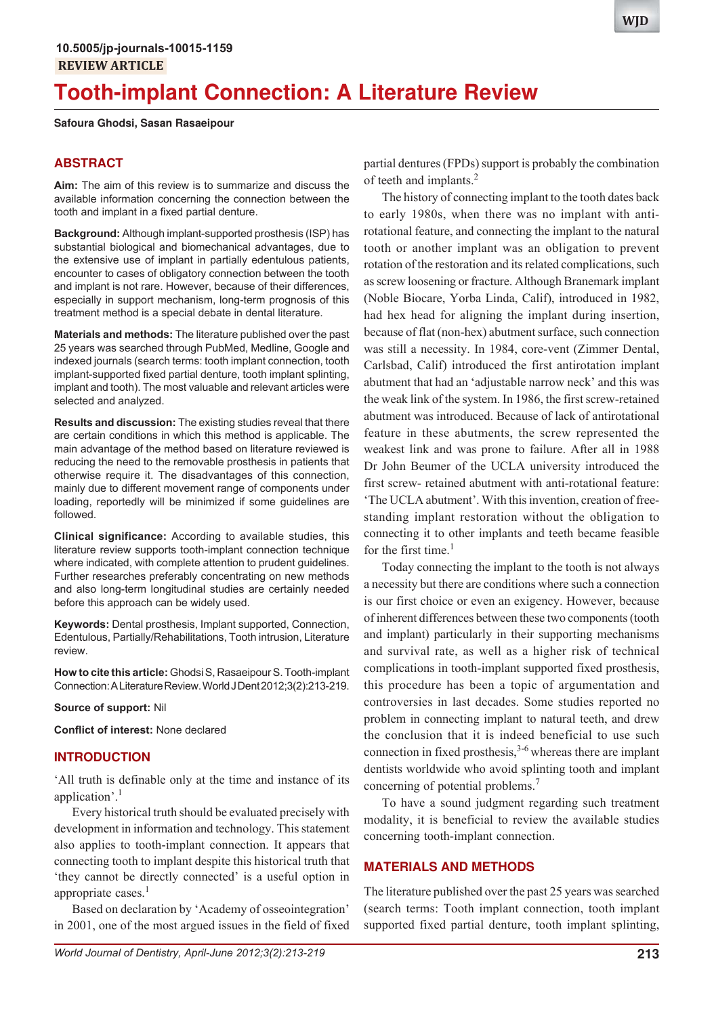# **Tooth-implant Connection: A Literature Review**

#### **Safoura Ghodsi, Sasan Rasaeipour**

# **ABSTRACT**

**Aim:** The aim of this review is to summarize and discuss the available information concerning the connection between the tooth and implant in a fixed partial denture.

**Background:** Although implant-supported prosthesis (ISP) has substantial biological and biomechanical advantages, due to the extensive use of implant in partially edentulous patients, encounter to cases of obligatory connection between the tooth and implant is not rare. However, because of their differences, especially in support mechanism, long-term prognosis of this treatment method is a special debate in dental literature.

**Materials and methods:** The literature published over the past 25 years was searched through PubMed, Medline, Google and indexed journals (search terms: tooth implant connection, tooth implant-supported fixed partial denture, tooth implant splinting, implant and tooth). The most valuable and relevant articles were selected and analyzed.

**Results and discussion:** The existing studies reveal that there are certain conditions in which this method is applicable. The main advantage of the method based on literature reviewed is reducing the need to the removable prosthesis in patients that otherwise require it. The disadvantages of this connection, mainly due to different movement range of components under loading, reportedly will be minimized if some guidelines are followed.

**Clinical significance:** According to available studies, this literature review supports tooth-implant connection technique where indicated, with complete attention to prudent guidelines. Further researches preferably concentrating on new methods and also long-term longitudinal studies are certainly needed before this approach can be widely used.

**Keywords:** Dental prosthesis, Implant supported, Connection, Edentulous, Partially/Rehabilitations, Tooth intrusion, Literature review.

**How to cite this article:** Ghodsi S, Rasaeipour S. Tooth-implant Connection: A Literature Review. World J Dent 2012;3(2):213-219.

#### **Source of support:** Nil

**Conflict of interest:** None declared

#### **INTRODUCTION**

'All truth is definable only at the time and instance of its application'.<sup>1</sup>

Every historical truth should be evaluated precisely with development in information and technology. This statement also applies to tooth-implant connection. It appears that connecting tooth to implant despite this historical truth that 'they cannot be directly connected' is a useful option in appropriate cases.<sup>1</sup>

Based on declaration by 'Academy of osseointegration' in 2001, one of the most argued issues in the field of fixed partial dentures (FPDs) support is probably the combination of teeth and implants.<sup>2</sup>

The history of connecting implant to the tooth dates back to early 1980s, when there was no implant with antirotational feature, and connecting the implant to the natural tooth or another implant was an obligation to prevent rotation of the restoration and its related complications, such as screw loosening or fracture. Although Branemark implant (Noble Biocare, Yorba Linda, Calif), introduced in 1982, had hex head for aligning the implant during insertion, because of flat (non-hex) abutment surface, such connection was still a necessity. In 1984, core-vent (Zimmer Dental, Carlsbad, Calif) introduced the first antirotation implant abutment that had an 'adjustable narrow neck' and this was the weak link of the system. In 1986, the first screw-retained abutment was introduced. Because of lack of antirotational feature in these abutments, the screw represented the weakest link and was prone to failure. After all in 1988 Dr John Beumer of the UCLA university introduced the first screw- retained abutment with anti-rotational feature: 'The UCLA abutment'. With this invention, creation of freestanding implant restoration without the obligation to connecting it to other implants and teeth became feasible for the first time. $<sup>1</sup>$ </sup>

Today connecting the implant to the tooth is not always a necessity but there are conditions where such a connection is our first choice or even an exigency. However, because of inherent differences between these two components (tooth and implant) particularly in their supporting mechanisms and survival rate, as well as a higher risk of technical complications in tooth-implant supported fixed prosthesis, this procedure has been a topic of argumentation and controversies in last decades. Some studies reported no problem in connecting implant to natural teeth, and drew the conclusion that it is indeed beneficial to use such connection in fixed prosthesis, $3-6$  whereas there are implant dentists worldwide who avoid splinting tooth and implant concerning of potential problems.<sup>7</sup>

To have a sound judgment regarding such treatment modality, it is beneficial to review the available studies concerning tooth-implant connection.

# **MATERIALS AND METHODS**

The literature published over the past 25 years was searched (search terms: Tooth implant connection, tooth implant supported fixed partial denture, tooth implant splinting,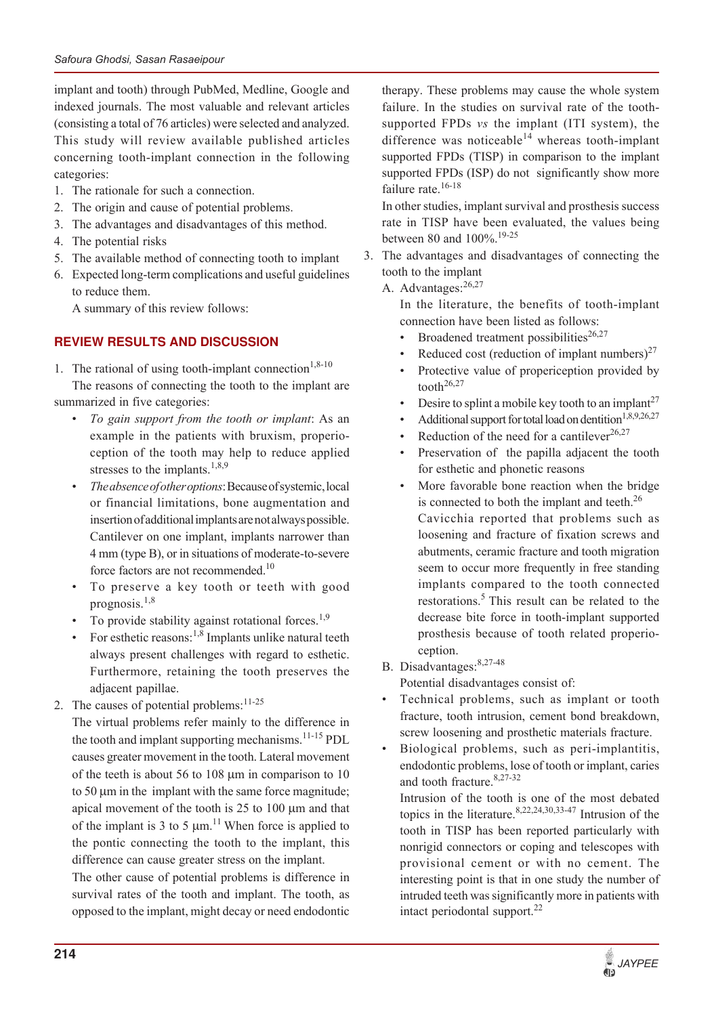implant and tooth) through PubMed, Medline, Google and indexed journals. The most valuable and relevant articles (consisting a total of 76 articles) were selected and analyzed. This study will review available published articles concerning tooth-implant connection in the following categories:

- 1. The rationale for such a connection.
- 2. The origin and cause of potential problems.
- 3. The advantages and disadvantages of this method.
- 4. The potential risks
- 5. The available method of connecting tooth to implant
- 6. Expected long-term complications and useful guidelines to reduce them.

A summary of this review follows:

# **REVIEW RESULTS AND DISCUSSION**

1. The rational of using tooth-implant connection<sup>1,8-10</sup> The reasons of connecting the tooth to the implant are summarized in five categories:

- To gain support from the tooth or implant: As an example in the patients with bruxism, properioception of the tooth may help to reduce applied stresses to the implants.<sup>1,8,9</sup>
- ï *The absence of other options*: Because of systemic, local or financial limitations, bone augmentation and insertion of additional implants are not always possible. Cantilever on one implant, implants narrower than 4 mm (type B), or in situations of moderate-to-severe force factors are not recommended.<sup>10</sup>
- To preserve a key tooth or teeth with good prognosis. $1,8$
- To provide stability against rotational forces.<sup>1,9</sup>
- For esthetic reasons:<sup>1,8</sup> Implants unlike natural teeth always present challenges with regard to esthetic. Furthermore, retaining the tooth preserves the adjacent papillae.
- 2. The causes of potential problems: $11-25$

The virtual problems refer mainly to the difference in the tooth and implant supporting mechanisms.<sup>11-15</sup> PDL causes greater movement in the tooth. Lateral movement of the teeth is about 56 to 108  $\mu$ m in comparison to 10 to  $50 \mu m$  in the implant with the same force magnitude; apical movement of the tooth is  $25$  to  $100 \mu m$  and that of the implant is 3 to 5  $\mu$ m.<sup>11</sup> When force is applied to the pontic connecting the tooth to the implant, this difference can cause greater stress on the implant.

The other cause of potential problems is difference in survival rates of the tooth and implant. The tooth, as opposed to the implant, might decay or need endodontic

therapy. These problems may cause the whole system failure. In the studies on survival rate of the toothsupported FPDs *vs* the implant (ITI system), the difference was noticeable<sup>14</sup> whereas tooth-implant supported FPDs (TISP) in comparison to the implant supported FPDs (ISP) do not significantly show more failure rate.<sup>16-18</sup>

In other studies, implant survival and prosthesis success rate in TISP have been evaluated, the values being between 80 and 100%.<sup>19-25</sup>

3. The advantages and disadvantages of connecting the tooth to the implant

A. Advantages:  $26,27$ 

In the literature, the benefits of tooth-implant connection have been listed as follows:

- Broadened treatment possibilities<sup>26,27</sup>
- Reduced cost (reduction of implant numbers)<sup>27</sup>
- Protective value of properiception provided by tooth<sup>26,27</sup>
- Desire to splint a mobile key tooth to an implant<sup>27</sup>
- Additional support for total load on dentition<sup>1,8,9,26,27</sup>
- Reduction of the need for a cantilever<sup>26,27</sup>
- Preservation of the papilla adjacent the tooth for esthetic and phonetic reasons
- More favorable bone reaction when the bridge is connected to both the implant and teeth. $^{26}$ Cavicchia reported that problems such as loosening and fracture of fixation screws and abutments, ceramic fracture and tooth migration seem to occur more frequently in free standing implants compared to the tooth connected restorations.<sup>5</sup> This result can be related to the decrease bite force in tooth-implant supported prosthesis because of tooth related properioception.
- B. Disadvantages:8,27-48

Potential disadvantages consist of:

- Technical problems, such as implant or tooth fracture, tooth intrusion, cement bond breakdown, screw loosening and prosthetic materials fracture.
- Biological problems, such as peri-implantitis, endodontic problems, lose of tooth or implant, caries and tooth fracture.<sup>8,27-32</sup>

Intrusion of the tooth is one of the most debated topics in the literature.  $8,22,24,30,33-47$  Intrusion of the tooth in TISP has been reported particularly with nonrigid connectors or coping and telescopes with provisional cement or with no cement. The interesting point is that in one study the number of intruded teeth was significantly more in patients with intact periodontal support. $^{22}$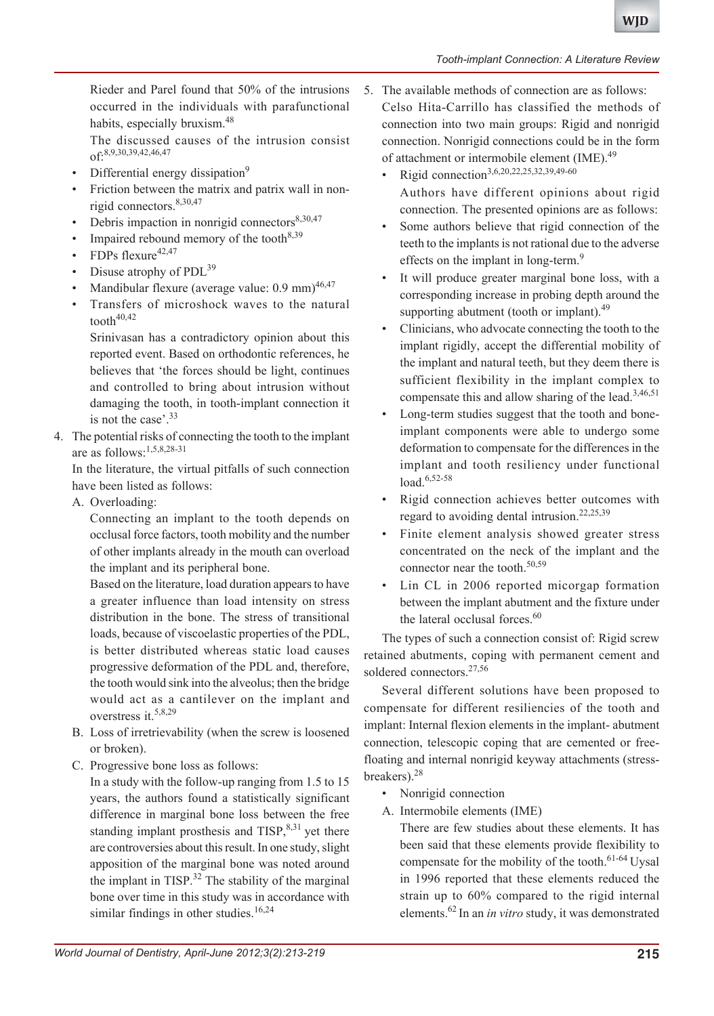#### *Tooth-implant Connection: A Literature Review*

Rieder and Parel found that 50% of the intrusions occurred in the individuals with parafunctional habits, especially bruxism.<sup>48</sup>

The discussed causes of the intrusion consist of:8,9,30,39,42,46,47

- Differential energy dissipation<sup>9</sup>
- Friction between the matrix and patrix wall in nonrigid connectors.<sup>8,30,47</sup>
- Debris impaction in nonrigid connectors $8,30,47$
- Impaired rebound memory of the tooth $8,39$
- $FDPs$  flexure<sup>42,47</sup>
- Disuse atrophy of PDL<sup>39</sup>
- Mandibular flexure (average value: 0.9 mm)<sup>46,47</sup>
- Transfers of microshock waves to the natural tooth $40,42$

Srinivasan has a contradictory opinion about this reported event. Based on orthodontic references, he believes that 'the forces should be light, continues and controlled to bring about intrusion without damaging the tooth, in tooth-implant connection it is not the case'.<sup>33</sup>

4. The potential risks of connecting the tooth to the implant are as follows:1,5,8,28-31

In the literature, the virtual pitfalls of such connection have been listed as follows:

A. Overloading:

Connecting an implant to the tooth depends on occlusal force factors, tooth mobility and the number of other implants already in the mouth can overload the implant and its peripheral bone.

Based on the literature, load duration appears to have a greater influence than load intensity on stress distribution in the bone. The stress of transitional loads, because of viscoelastic properties of the PDL, is better distributed whereas static load causes progressive deformation of the PDL and, therefore, the tooth would sink into the alveolus; then the bridge would act as a cantilever on the implant and overstress it.5,8,29

- B. Loss of irretrievability (when the screw is loosened or broken).
- C. Progressive bone loss as follows:

In a study with the follow-up ranging from 1.5 to 15 years, the authors found a statistically significant difference in marginal bone loss between the free standing implant prosthesis and  $TISP$ ,<sup>8,31</sup> yet there are controversies about this result. In one study, slight apposition of the marginal bone was noted around the implant in TISP.<sup>32</sup> The stability of the marginal bone over time in this study was in accordance with similar findings in other studies.<sup>16,24</sup>

- 5. The available methods of connection are as follows: Celso Hita-Carrillo has classified the methods of connection into two main groups: Rigid and nonrigid connection. Nonrigid connections could be in the form of attachment or intermobile element (IME).<sup>49</sup>
	- Rigid connection<sup>3,6,20,22,25,32,39,49-60</sup> Authors have different opinions about rigid connection. The presented opinions are as follows:
	- Some authors believe that rigid connection of the teeth to the implants is not rational due to the adverse effects on the implant in long-term.<sup>9</sup>
	- It will produce greater marginal bone loss, with a corresponding increase in probing depth around the supporting abutment (tooth or implant). $49$
	- Clinicians, who advocate connecting the tooth to the implant rigidly, accept the differential mobility of the implant and natural teeth, but they deem there is sufficient flexibility in the implant complex to compensate this and allow sharing of the lead.<sup>3,46,51</sup>
	- Long-term studies suggest that the tooth and boneimplant components were able to undergo some deformation to compensate for the differences in the implant and tooth resiliency under functional load.<sup>6,52-58</sup>
	- Rigid connection achieves better outcomes with regard to avoiding dental intrusion.<sup>22,25,39</sup>
	- Finite element analysis showed greater stress concentrated on the neck of the implant and the connector near the tooth. $50,59$
	- Lin CL in 2006 reported micorgap formation between the implant abutment and the fixture under the lateral occlusal forces.<sup>60</sup>

The types of such a connection consist of: Rigid screw retained abutments, coping with permanent cement and soldered connectors.<sup>27,56</sup>

Several different solutions have been proposed to compensate for different resiliencies of the tooth and implant: Internal flexion elements in the implant- abutment connection, telescopic coping that are cemented or freefloating and internal nonrigid keyway attachments (stressbreakers).<sup>28</sup>

- Nonrigid connection
- A. Intermobile elements (IME)

There are few studies about these elements. It has been said that these elements provide flexibility to compensate for the mobility of the tooth.<sup>61-64</sup> Uysal in 1996 reported that these elements reduced the strain up to 60% compared to the rigid internal elements.62 In an *in vitro* study, it was demonstrated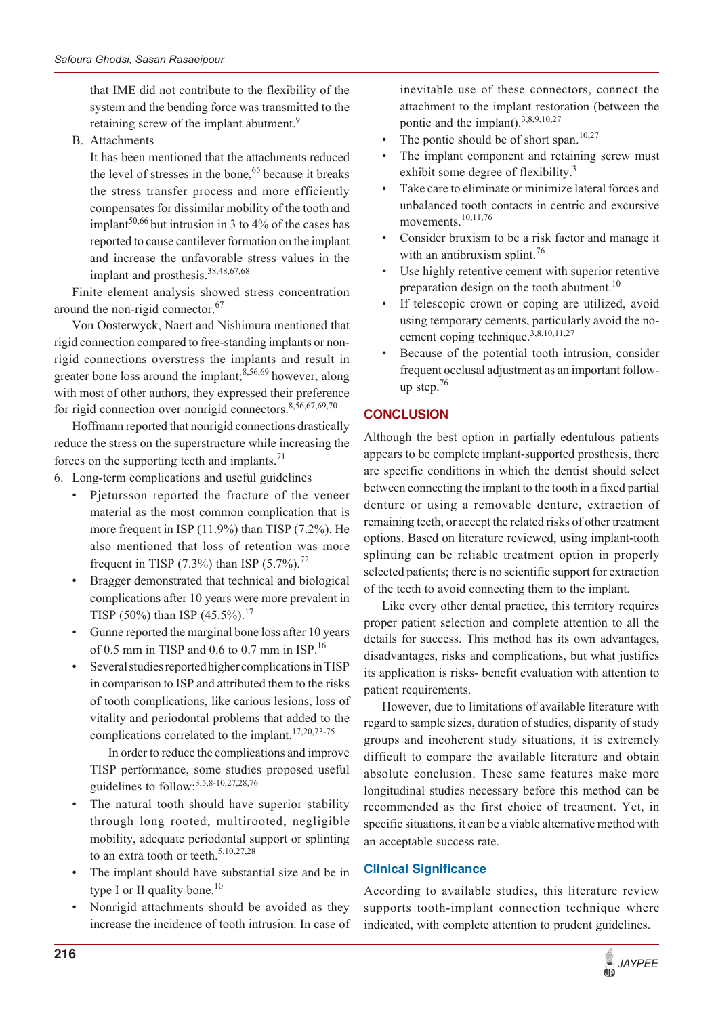that IME did not contribute to the flexibility of the system and the bending force was transmitted to the retaining screw of the implant abutment.<sup>9</sup>

B. Attachments

It has been mentioned that the attachments reduced the level of stresses in the bone,<sup>65</sup> because it breaks the stress transfer process and more efficiently compensates for dissimilar mobility of the tooth and implant<sup>50,66</sup> but intrusion in 3 to 4% of the cases has reported to cause cantilever formation on the implant and increase the unfavorable stress values in the implant and prosthesis.<sup>38,48,67,68</sup>

Finite element analysis showed stress concentration around the non-rigid connector.<sup>67</sup>

Von Oosterwyck, Naert and Nishimura mentioned that rigid connection compared to free-standing implants or nonrigid connections overstress the implants and result in greater bone loss around the implant;<sup>8,56,69</sup> however, along with most of other authors, they expressed their preference for rigid connection over nonrigid connectors.<sup>8,56,67,69,70</sup>

Hoffmann reported that nonrigid connections drastically reduce the stress on the superstructure while increasing the forces on the supporting teeth and implants.<sup>71</sup>

- 6. Long-term complications and useful guidelines
	- Pjetursson reported the fracture of the veneer material as the most common complication that is more frequent in ISP (11.9%) than TISP (7.2%). He also mentioned that loss of retention was more frequent in TISP (7.3%) than ISP (5.7%).<sup>72</sup>
	- Bragger demonstrated that technical and biological complications after 10 years were more prevalent in TISP (50%) than ISP (45.5%).<sup>17</sup>
	- Gunne reported the marginal bone loss after 10 years of 0.5 mm in TISP and 0.6 to 0.7 mm in ISP.<sup>16</sup>
	- Several studies reported higher complications in TISP in comparison to ISP and attributed them to the risks of tooth complications, like carious lesions, loss of vitality and periodontal problems that added to the complications correlated to the implant.<sup>17,20,73-75</sup>

In order to reduce the complications and improve TISP performance, some studies proposed useful guidelines to follow: $3,5,8-10,27,28,76$ 

- The natural tooth should have superior stability through long rooted, multirooted, negligible mobility, adequate periodontal support or splinting to an extra tooth or teeth.<sup>5,10,27,28</sup>
- The implant should have substantial size and be in type I or II quality bone.<sup>10</sup>
- Nonrigid attachments should be avoided as they increase the incidence of tooth intrusion. In case of

inevitable use of these connectors, connect the attachment to the implant restoration (between the pontic and the implant).  $3,8,9,10,27$ 

- The pontic should be of short span. $10,27$
- The implant component and retaining screw must exhibit some degree of flexibility.<sup>3</sup>
- Take care to eliminate or minimize lateral forces and unbalanced tooth contacts in centric and excursive movements.10,11,76
- Consider bruxism to be a risk factor and manage it with an antibruxism splint.<sup>76</sup>
- Use highly retentive cement with superior retentive preparation design on the tooth abutment.<sup>10</sup>
- If telescopic crown or coping are utilized, avoid using temporary cements, particularly avoid the nocement coping technique. $3,8,10,11,27$
- Because of the potential tooth intrusion, consider frequent occlusal adjustment as an important followup step. $76$

# **CONCLUSION**

Although the best option in partially edentulous patients appears to be complete implant-supported prosthesis, there are specific conditions in which the dentist should select between connecting the implant to the tooth in a fixed partial denture or using a removable denture, extraction of remaining teeth, or accept the related risks of other treatment options. Based on literature reviewed, using implant-tooth splinting can be reliable treatment option in properly selected patients; there is no scientific support for extraction of the teeth to avoid connecting them to the implant.

Like every other dental practice, this territory requires proper patient selection and complete attention to all the details for success. This method has its own advantages, disadvantages, risks and complications, but what justifies its application is risks- benefit evaluation with attention to patient requirements.

However, due to limitations of available literature with regard to sample sizes, duration of studies, disparity of study groups and incoherent study situations, it is extremely difficult to compare the available literature and obtain absolute conclusion. These same features make more longitudinal studies necessary before this method can be recommended as the first choice of treatment. Yet, in specific situations, it can be a viable alternative method with an acceptable success rate.

# **Clinical Significance**

According to available studies, this literature review supports tooth-implant connection technique where indicated, with complete attention to prudent guidelines.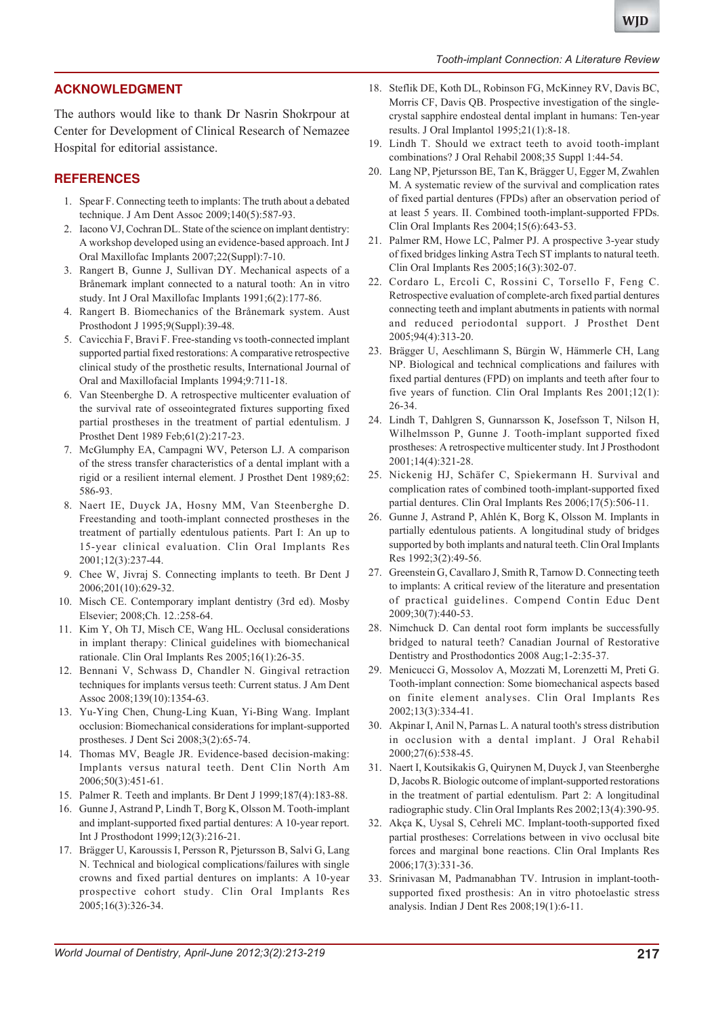#### *Tooth-implant Connection: A Literature Review*

# **ACKNOWLEDGMENT**

The authors would like to thank Dr Nasrin Shokrpour at Center for Development of Clinical Research of Nemazee Hospital for editorial assistance.

#### **REFERENCES**

- 1. Spear F. Connecting teeth to implants: The truth about a debated technique. J Am Dent Assoc 2009;140(5):587-93.
- 2. Iacono VJ, Cochran DL. State of the science on implant dentistry: A workshop developed using an evidence-based approach. Int J Oral Maxillofac Implants 2007;22(Suppl):7-10.
- 3. Rangert B, Gunne J, Sullivan DY. Mechanical aspects of a Brånemark implant connected to a natural tooth: An in vitro study. Int J Oral Maxillofac Implants 1991;6(2):177-86.
- 4. Rangert B. Biomechanics of the Brånemark system. Aust Prosthodont J 1995;9(Suppl):39-48.
- 5. Cavicchia F, Bravi F. Free-standing vs tooth-connected implant supported partial fixed restorations: A comparative retrospective clinical study of the prosthetic results, International Journal of Oral and Maxillofacial Implants 1994;9:711-18.
- 6. Van Steenberghe D. A retrospective multicenter evaluation of the survival rate of osseointegrated fixtures supporting fixed partial prostheses in the treatment of partial edentulism. J Prosthet Dent 1989 Feb;61(2):217-23.
- 7. McGlumphy EA, Campagni WV, Peterson LJ. A comparison of the stress transfer characteristics of a dental implant with a rigid or a resilient internal element. J Prosthet Dent 1989;62: 586-93.
- 8. Naert IE, Duyck JA, Hosny MM, Van Steenberghe D. Freestanding and tooth-implant connected prostheses in the treatment of partially edentulous patients. Part I: An up to 15-year clinical evaluation. Clin Oral Implants Res 2001;12(3):237-44.
- 9. Chee W, Jivraj S. Connecting implants to teeth. Br Dent J 2006;201(10):629-32.
- 10. Misch CE. Contemporary implant dentistry (3rd ed). Mosby Elsevier; 2008;Ch. 12.:258-64.
- 11. Kim Y, Oh TJ, Misch CE, Wang HL. Occlusal considerations in implant therapy: Clinical guidelines with biomechanical rationale. Clin Oral Implants Res 2005;16(1):26-35.
- 12. Bennani V, Schwass D, Chandler N. Gingival retraction techniques for implants versus teeth: Current status. J Am Dent Assoc 2008;139(10):1354-63.
- 13. Yu-Ying Chen, Chung-Ling Kuan, Yi-Bing Wang. Implant occlusion: Biomechanical considerations for implant-supported prostheses. J Dent Sci 2008;3(2):65-74.
- 14. Thomas MV, Beagle JR. Evidence-based decision-making: Implants versus natural teeth. Dent Clin North Am 2006;50(3):451-61.
- 15. Palmer R. Teeth and implants. Br Dent J 1999;187(4):183-88.
- 16. Gunne J, Astrand P, Lindh T, Borg K, Olsson M. Tooth-implant and implant-supported fixed partial dentures: A 10-year report. Int J Prosthodont 1999;12(3):216-21.
- 17. Brägger U, Karoussis I, Persson R, Pjetursson B, Salvi G, Lang N. Technical and biological complications/failures with single crowns and fixed partial dentures on implants: A 10-year prospective cohort study. Clin Oral Implants Res 2005;16(3):326-34.
- 18. Steflik DE, Koth DL, Robinson FG, McKinney RV, Davis BC, Morris CF, Davis QB. Prospective investigation of the singlecrystal sapphire endosteal dental implant in humans: Ten-year results. J Oral Implantol 1995;21(1):8-18.
- 19. Lindh T. Should we extract teeth to avoid tooth-implant combinations? J Oral Rehabil 2008;35 Suppl 1:44-54.
- 20. Lang NP, Pjetursson BE, Tan K, Brägger U, Egger M, Zwahlen M. A systematic review of the survival and complication rates of fixed partial dentures (FPDs) after an observation period of at least 5 years. II. Combined tooth-implant-supported FPDs. Clin Oral Implants Res 2004;15(6):643-53.
- 21. Palmer RM, Howe LC, Palmer PJ. A prospective 3-year study of fixed bridges linking Astra Tech ST implants to natural teeth. Clin Oral Implants Res 2005;16(3):302-07.
- 22. Cordaro L, Ercoli C, Rossini C, Torsello F, Feng C. Retrospective evaluation of complete-arch fixed partial dentures connecting teeth and implant abutments in patients with normal and reduced periodontal support. J Prosthet Dent 2005;94(4):313-20.
- 23. Brägger U, Aeschlimann S, Bürgin W, Hämmerle CH, Lang NP. Biological and technical complications and failures with fixed partial dentures (FPD) on implants and teeth after four to five years of function. Clin Oral Implants Res 2001;12(1): 26-34.
- 24. Lindh T, Dahlgren S, Gunnarsson K, Josefsson T, Nilson H, Wilhelmsson P, Gunne J. Tooth-implant supported fixed prostheses: A retrospective multicenter study. Int J Prosthodont 2001;14(4):321-28.
- 25. Nickenig HJ, Schäfer C, Spiekermann H. Survival and complication rates of combined tooth-implant-supported fixed partial dentures. Clin Oral Implants Res 2006;17(5):506-11.
- 26. Gunne J, Astrand P, Ahlén K, Borg K, Olsson M. Implants in partially edentulous patients. A longitudinal study of bridges supported by both implants and natural teeth. Clin Oral Implants Res 1992;3(2):49-56.
- 27. Greenstein G, Cavallaro J, Smith R, Tarnow D. Connecting teeth to implants: A critical review of the literature and presentation of practical guidelines. Compend Contin Educ Dent 2009;30(7):440-53.
- 28. Nimchuck D. Can dental root form implants be successfully bridged to natural teeth? Canadian Journal of Restorative Dentistry and Prosthodontics 2008 Aug;1-2:35-37.
- 29. Menicucci G, Mossolov A, Mozzati M, Lorenzetti M, Preti G. Tooth-implant connection: Some biomechanical aspects based on finite element analyses. Clin Oral Implants Res 2002;13(3):334-41.
- 30. Akpinar I, Anil N, Parnas L. A natural tooth's stress distribution in occlusion with a dental implant. J Oral Rehabil 2000;27(6):538-45.
- 31. Naert I, Koutsikakis G, Quirynen M, Duyck J, van Steenberghe D, Jacobs R. Biologic outcome of implant-supported restorations in the treatment of partial edentulism. Part 2: A longitudinal radiographic study. Clin Oral Implants Res 2002;13(4):390-95.
- 32. Akça K, Uysal S, Cehreli MC. Implant-tooth-supported fixed partial prostheses: Correlations between in vivo occlusal bite forces and marginal bone reactions. Clin Oral Implants Res 2006;17(3):331-36.
- 33. Srinivasan M, Padmanabhan TV. Intrusion in implant-toothsupported fixed prosthesis: An in vitro photoelastic stress analysis. Indian J Dent Res 2008;19(1):6-11.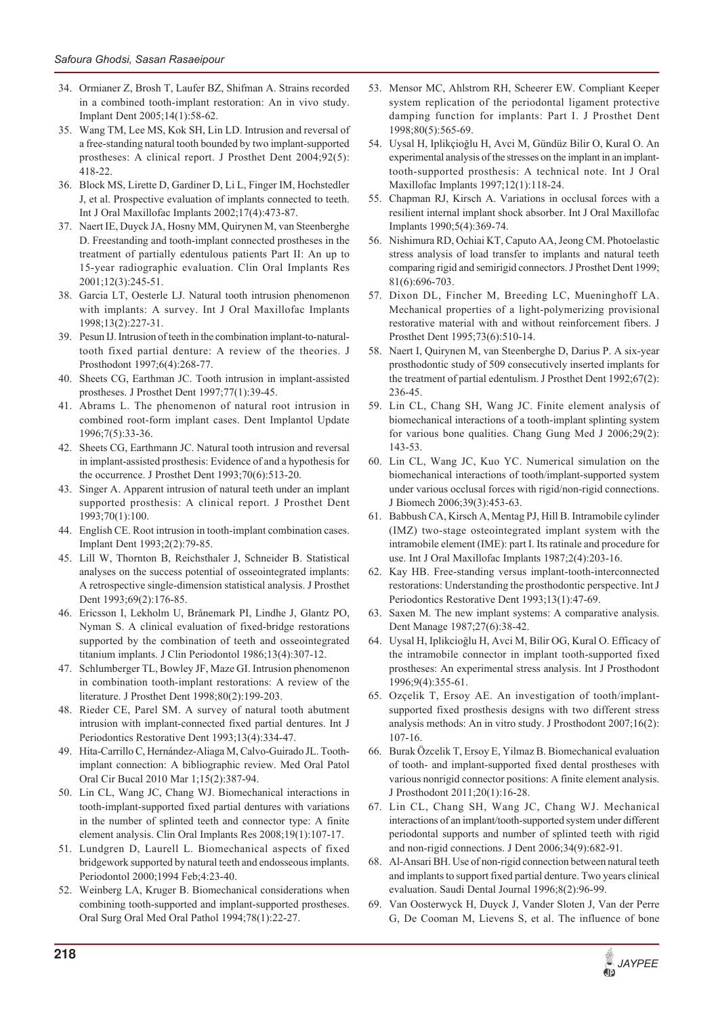- 34. Ormianer Z, Brosh T, Laufer BZ, Shifman A. Strains recorded in a combined tooth-implant restoration: An in vivo study. Implant Dent 2005;14(1):58-62.
- 35. Wang TM, Lee MS, Kok SH, Lin LD. Intrusion and reversal of a free-standing natural tooth bounded by two implant-supported prostheses: A clinical report. J Prosthet Dent 2004;92(5): 418-22.
- 36. Block MS, Lirette D, Gardiner D, Li L, Finger IM, Hochstedler J, et al. Prospective evaluation of implants connected to teeth. Int J Oral Maxillofac Implants 2002;17(4):473-87.
- 37. Naert IE, Duyck JA, Hosny MM, Quirynen M, van Steenberghe D. Freestanding and tooth-implant connected prostheses in the treatment of partially edentulous patients Part II: An up to 15-year radiographic evaluation. Clin Oral Implants Res 2001;12(3):245-51.
- 38. Garcia LT, Oesterle LJ. Natural tooth intrusion phenomenon with implants: A survey. Int J Oral Maxillofac Implants 1998;13(2):227-31.
- 39. Pesun IJ. Intrusion of teeth in the combination implant-to-naturaltooth fixed partial denture: A review of the theories. J Prosthodont 1997;6(4):268-77.
- 40. Sheets CG, Earthman JC. Tooth intrusion in implant-assisted prostheses. J Prosthet Dent 1997;77(1):39-45.
- 41. Abrams L. The phenomenon of natural root intrusion in combined root-form implant cases. Dent Implantol Update 1996;7(5):33-36.
- 42. Sheets CG, Earthmann JC. Natural tooth intrusion and reversal in implant-assisted prosthesis: Evidence of and a hypothesis for the occurrence. J Prosthet Dent 1993;70(6):513-20.
- 43. Singer A. Apparent intrusion of natural teeth under an implant supported prosthesis: A clinical report. J Prosthet Dent 1993;70(1):100.
- 44. English CE. Root intrusion in tooth-implant combination cases. Implant Dent 1993;2(2):79-85.
- 45. Lill W, Thornton B, Reichsthaler J, Schneider B. Statistical analyses on the success potential of osseointegrated implants: A retrospective single-dimension statistical analysis. J Prosthet Dent 1993;69(2):176-85.
- 46. Ericsson I, Lekholm U, Brånemark PI, Lindhe J, Glantz PO, Nyman S. A clinical evaluation of fixed-bridge restorations supported by the combination of teeth and osseointegrated titanium implants. J Clin Periodontol 1986;13(4):307-12.
- 47. Schlumberger TL, Bowley JF, Maze GI. Intrusion phenomenon in combination tooth-implant restorations: A review of the literature. J Prosthet Dent 1998;80(2):199-203.
- 48. Rieder CE, Parel SM. A survey of natural tooth abutment intrusion with implant-connected fixed partial dentures. Int J Periodontics Restorative Dent 1993;13(4):334-47.
- 49. Hita-Carrillo C, Hernández-Aliaga M, Calvo-Guirado JL. Toothimplant connection: A bibliographic review. Med Oral Patol Oral Cir Bucal 2010 Mar 1;15(2):387-94.
- 50. Lin CL, Wang JC, Chang WJ. Biomechanical interactions in tooth-implant-supported fixed partial dentures with variations in the number of splinted teeth and connector type: A finite element analysis. Clin Oral Implants Res 2008;19(1):107-17.
- 51. Lundgren D, Laurell L. Biomechanical aspects of fixed bridgework supported by natural teeth and endosseous implants. Periodontol 2000;1994 Feb;4:23-40.
- 52. Weinberg LA, Kruger B. Biomechanical considerations when combining tooth-supported and implant-supported prostheses. Oral Surg Oral Med Oral Pathol 1994;78(1):22-27.
- 53. Mensor MC, Ahlstrom RH, Scheerer EW. Compliant Keeper system replication of the periodontal ligament protective damping function for implants: Part I. J Prosthet Dent 1998;80(5):565-69.
- 54. Uysal H, Iplikçioğlu H, Avci M, Gündüz Bilir O, Kural O. An experimental analysis of the stresses on the implant in an implanttooth-supported prosthesis: A technical note. Int J Oral Maxillofac Implants 1997;12(1):118-24.
- 55. Chapman RJ, Kirsch A. Variations in occlusal forces with a resilient internal implant shock absorber. Int J Oral Maxillofac Implants 1990;5(4):369-74.
- 56. Nishimura RD, Ochiai KT, Caputo AA, Jeong CM. Photoelastic stress analysis of load transfer to implants and natural teeth comparing rigid and semirigid connectors. J Prosthet Dent 1999; 81(6):696-703.
- 57. Dixon DL, Fincher M, Breeding LC, Mueninghoff LA. Mechanical properties of a light-polymerizing provisional restorative material with and without reinforcement fibers. J Prosthet Dent 1995;73(6):510-14.
- 58. Naert I, Quirynen M, van Steenberghe D, Darius P. A six-year prosthodontic study of 509 consecutively inserted implants for the treatment of partial edentulism. J Prosthet Dent 1992;67(2): 236-45.
- 59. Lin CL, Chang SH, Wang JC. Finite element analysis of biomechanical interactions of a tooth-implant splinting system for various bone qualities. Chang Gung Med J 2006;29(2): 143-53.
- 60. Lin CL, Wang JC, Kuo YC. Numerical simulation on the biomechanical interactions of tooth/implant-supported system under various occlusal forces with rigid/non-rigid connections. J Biomech 2006;39(3):453-63.
- 61. Babbush CA, Kirsch A, Mentag PJ, Hill B. Intramobile cylinder (IMZ) two-stage osteointegrated implant system with the intramobile element (IME): part I. Its ratinale and procedure for use. Int J Oral Maxillofac Implants 1987;2(4):203-16.
- 62. Kay HB. Free-standing versus implant-tooth-interconnected restorations: Understanding the prosthodontic perspective. Int J Periodontics Restorative Dent 1993;13(1):47-69.
- 63. Saxen M. The new implant systems: A comparative analysis. Dent Manage 1987;27(6):38-42.
- 64. Uysal H, Iplikcioğlu H, Avci M, Bilir OG, Kural O. Efficacy of the intramobile connector in implant tooth-supported fixed prostheses: An experimental stress analysis. Int J Prosthodont 1996;9(4):355-61.
- 65. Ozçelik T, Ersoy AE. An investigation of tooth/implantsupported fixed prosthesis designs with two different stress analysis methods: An in vitro study. J Prosthodont 2007;16(2): 107-16.
- 66. Burak Özcelik T, Ersoy E, Yilmaz B. Biomechanical evaluation of tooth- and implant-supported fixed dental prostheses with various nonrigid connector positions: A finite element analysis. J Prosthodont 2011;20(1):16-28.
- 67. Lin CL, Chang SH, Wang JC, Chang WJ. Mechanical interactions of an implant/tooth-supported system under different periodontal supports and number of splinted teeth with rigid and non-rigid connections. J Dent 2006;34(9):682-91.
- 68. Al-Ansari BH. Use of non-rigid connection between natural teeth and implants to support fixed partial denture. Two years clinical evaluation. Saudi Dental Journal 1996;8(2):96-99.
- 69. Van Oosterwyck H, Duyck J, Vander Sloten J, Van der Perre G, De Cooman M, Lievens S, et al. The influence of bone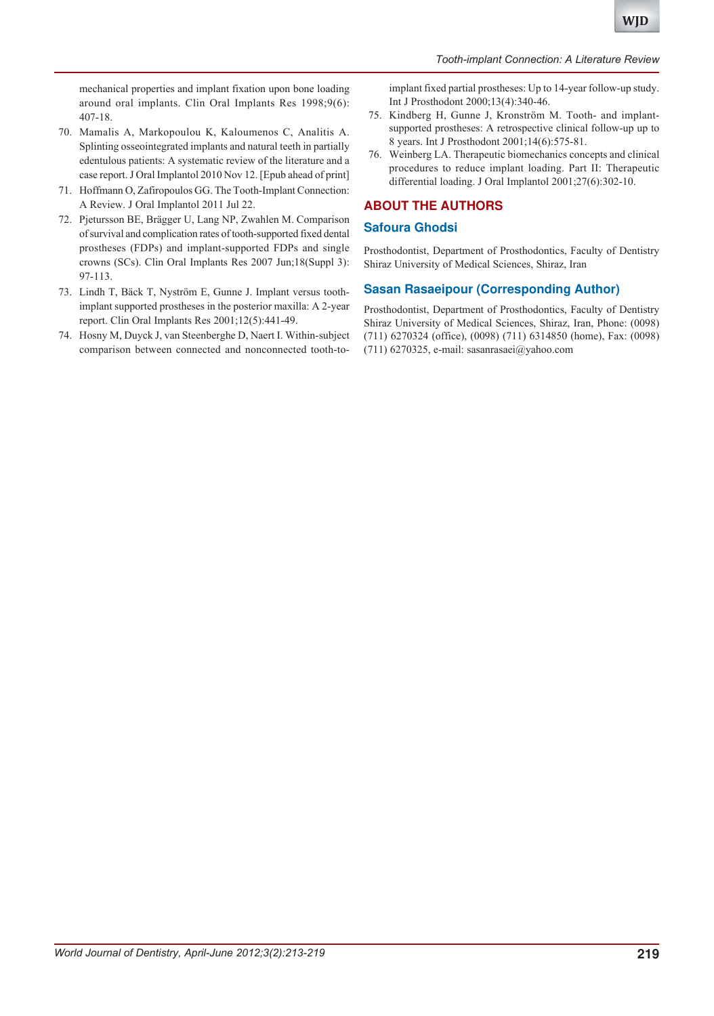mechanical properties and implant fixation upon bone loading around oral implants. Clin Oral Implants Res 1998;9(6): 407-18.

- 70. Mamalis A, Markopoulou K, Kaloumenos C, Analitis A. Splinting osseointegrated implants and natural teeth in partially edentulous patients: A systematic review of the literature and a case report. J Oral Implantol 2010 Nov 12. [Epub ahead of print]
- 71. Hoffmann O, Zafiropoulos GG. The Tooth-Implant Connection: A Review. J Oral Implantol 2011 Jul 22.
- 72. Pjetursson BE, Brägger U, Lang NP, Zwahlen M. Comparison of survival and complication rates of tooth-supported fixed dental prostheses (FDPs) and implant-supported FDPs and single crowns (SCs). Clin Oral Implants Res 2007 Jun;18(Suppl 3): 97-113.
- 73. Lindh T, Bäck T, Nyström E, Gunne J. Implant versus toothimplant supported prostheses in the posterior maxilla: A 2-year report. Clin Oral Implants Res 2001;12(5):441-49.
- 74. Hosny M, Duyck J, van Steenberghe D, Naert I. Within-subject comparison between connected and nonconnected tooth-to-

implant fixed partial prostheses: Up to 14-year follow-up study. Int J Prosthodont 2000;13(4):340-46.

- 75. Kindberg H, Gunne J, Kronström M. Tooth- and implantsupported prostheses: A retrospective clinical follow-up up to 8 years. Int J Prosthodont 2001;14(6):575-81.
- 76. Weinberg LA. Therapeutic biomechanics concepts and clinical procedures to reduce implant loading. Part II: Therapeutic differential loading. J Oral Implantol 2001;27(6):302-10.

# **ABOUT THE AUTHORS**

#### **Safoura Ghodsi**

Prosthodontist, Department of Prosthodontics, Faculty of Dentistry Shiraz University of Medical Sciences, Shiraz, Iran

# **Sasan Rasaeipour (Corresponding Author)**

Prosthodontist, Department of Prosthodontics, Faculty of Dentistry Shiraz University of Medical Sciences, Shiraz, Iran, Phone: (0098) (711) 6270324 (office), (0098) (711) 6314850 (home), Fax: (0098) (711) 6270325, e-mail: sasanrasaei@yahoo.com